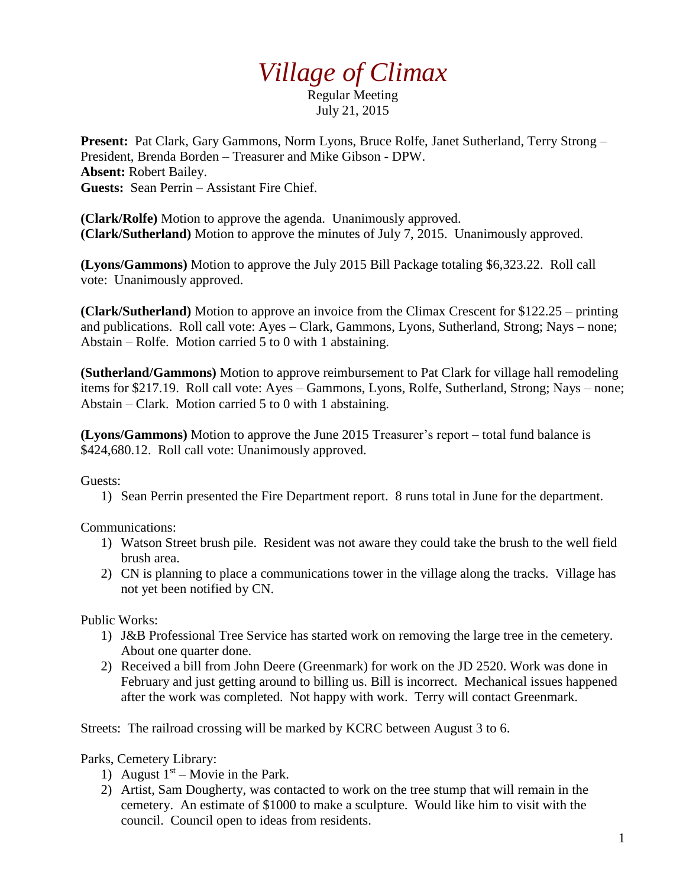## *Village of Climax*

Regular Meeting July 21, 2015

**Present:** Pat Clark, Gary Gammons, Norm Lyons, Bruce Rolfe, Janet Sutherland, Terry Strong – President, Brenda Borden – Treasurer and Mike Gibson - DPW. **Absent:** Robert Bailey. **Guests:** Sean Perrin – Assistant Fire Chief.

**(Clark/Rolfe)** Motion to approve the agenda. Unanimously approved. **(Clark/Sutherland)** Motion to approve the minutes of July 7, 2015. Unanimously approved.

**(Lyons/Gammons)** Motion to approve the July 2015 Bill Package totaling \$6,323.22. Roll call vote: Unanimously approved.

**(Clark/Sutherland)** Motion to approve an invoice from the Climax Crescent for \$122.25 – printing and publications. Roll call vote: Ayes – Clark, Gammons, Lyons, Sutherland, Strong; Nays – none; Abstain – Rolfe. Motion carried 5 to 0 with 1 abstaining.

**(Sutherland/Gammons)** Motion to approve reimbursement to Pat Clark for village hall remodeling items for \$217.19. Roll call vote: Ayes – Gammons, Lyons, Rolfe, Sutherland, Strong; Nays – none; Abstain – Clark. Motion carried 5 to 0 with 1 abstaining.

**(Lyons/Gammons)** Motion to approve the June 2015 Treasurer's report – total fund balance is \$424,680.12. Roll call vote: Unanimously approved.

Guests:

1) Sean Perrin presented the Fire Department report. 8 runs total in June for the department.

Communications:

- 1) Watson Street brush pile. Resident was not aware they could take the brush to the well field brush area.
- 2) CN is planning to place a communications tower in the village along the tracks. Village has not yet been notified by CN.

Public Works:

- 1) J&B Professional Tree Service has started work on removing the large tree in the cemetery. About one quarter done.
- 2) Received a bill from John Deere (Greenmark) for work on the JD 2520. Work was done in February and just getting around to billing us. Bill is incorrect. Mechanical issues happened after the work was completed. Not happy with work. Terry will contact Greenmark.

Streets: The railroad crossing will be marked by KCRC between August 3 to 6.

Parks, Cemetery Library:

- 1) August  $1<sup>st</sup>$  Movie in the Park.
- 2) Artist, Sam Dougherty, was contacted to work on the tree stump that will remain in the cemetery. An estimate of \$1000 to make a sculpture. Would like him to visit with the council. Council open to ideas from residents.